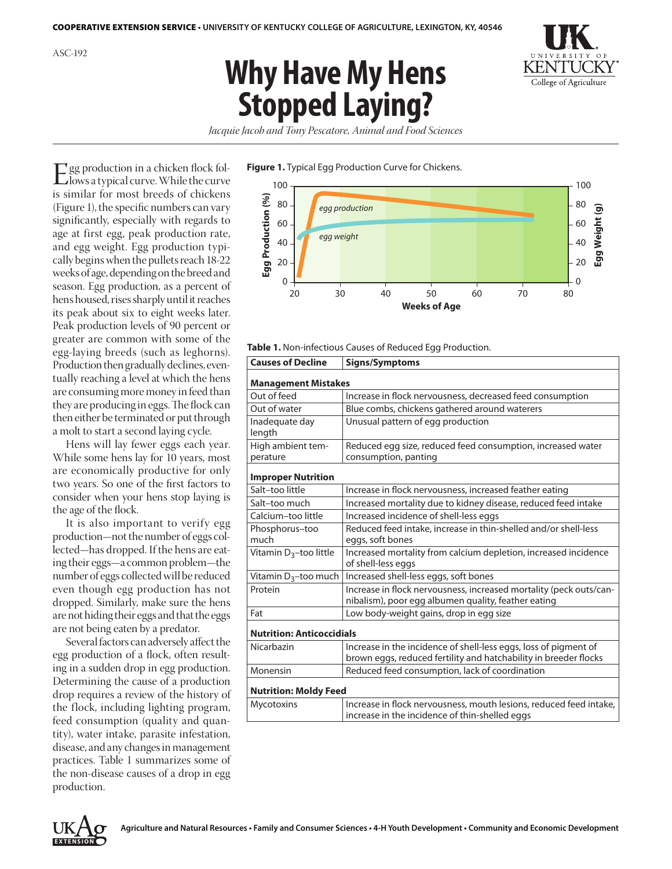# **Why Have My Hens Stopped Laying?**



*Jacquie Jacob and Tony Pescatore, Animal and Food Sciences*

#### **Figure 1.** Typical Egg Production Curve for Chickens.

Egg production in a chicken flock fol-lows a typical curve. While the curve is similar for most breeds of chickens (Figure 1), the specific numbers can vary significantly, especially with regards to age at first egg, peak production rate, and egg weight. Egg production typically begins when the pullets reach 18-22 weeks of age, depending on the breed and season. Egg production, as a percent of hens housed, rises sharply until it reaches its peak about six to eight weeks later. Peak production levels of 90 percent or greater are common with some of the egg-laying breeds (such as leghorns). Production then gradually declines, eventually reaching a level at which the hens are consuming more money in feed than they are producing in eggs. The flock can then either be terminated or put through a molt to start a second laying cycle.

Hens will lay fewer eggs each year. While some hens lay for 10 years, most are economically productive for only two years. So one of the first factors to consider when your hens stop laying is the age of the flock.

It is also important to verify egg production—not the number of eggs collected—has dropped. If the hens are eating their eggs—a common problem—the number of eggs collected will be reduced even though egg production has not dropped. Similarly, make sure the hens are not hiding their eggs and that the eggs are not being eaten by a predator.

Several factors can adversely affect the egg production of a flock, often resulting in a sudden drop in egg production. Determining the cause of a production drop requires a review of the history of the flock, including lighting program, feed consumption (quality and quantity), water intake, parasite infestation, disease, and any changes in management practices. Table 1 summarizes some of the non-disease causes of a drop in egg production.



#### **Table 1.** Non-infectious Causes of Reduced Egg Production.

| <b>Signs/Symptoms</b>                                                                                                                |  |  |
|--------------------------------------------------------------------------------------------------------------------------------------|--|--|
| <b>Management Mistakes</b>                                                                                                           |  |  |
| Increase in flock nervousness, decreased feed consumption                                                                            |  |  |
| Blue combs, chickens gathered around waterers                                                                                        |  |  |
| Unusual pattern of egg production                                                                                                    |  |  |
| Reduced egg size, reduced feed consumption, increased water                                                                          |  |  |
| consumption, panting                                                                                                                 |  |  |
| <b>Improper Nutrition</b>                                                                                                            |  |  |
| Increase in flock nervousness, increased feather eating                                                                              |  |  |
| Increased mortality due to kidney disease, reduced feed intake                                                                       |  |  |
| Increased incidence of shell-less eggs                                                                                               |  |  |
| Reduced feed intake, increase in thin-shelled and/or shell-less<br>eggs, soft bones                                                  |  |  |
| Increased mortality from calcium depletion, increased incidence<br>of shell-less eggs                                                |  |  |
| Increased shell-less eggs, soft bones                                                                                                |  |  |
| Increase in flock nervousness, increased mortality (peck outs/can-<br>nibalism), poor egg albumen quality, feather eating            |  |  |
| Low body-weight gains, drop in egg size                                                                                              |  |  |
| <b>Nutrition: Anticoccidials</b>                                                                                                     |  |  |
| Increase in the incidence of shell-less eggs, loss of pigment of<br>brown eggs, reduced fertility and hatchability in breeder flocks |  |  |
| Reduced feed consumption, lack of coordination                                                                                       |  |  |
| <b>Nutrition: Moldy Feed</b>                                                                                                         |  |  |
| Increase in flock nervousness, mouth lesions, reduced feed intake,<br>increase in the incidence of thin-shelled eggs                 |  |  |
|                                                                                                                                      |  |  |

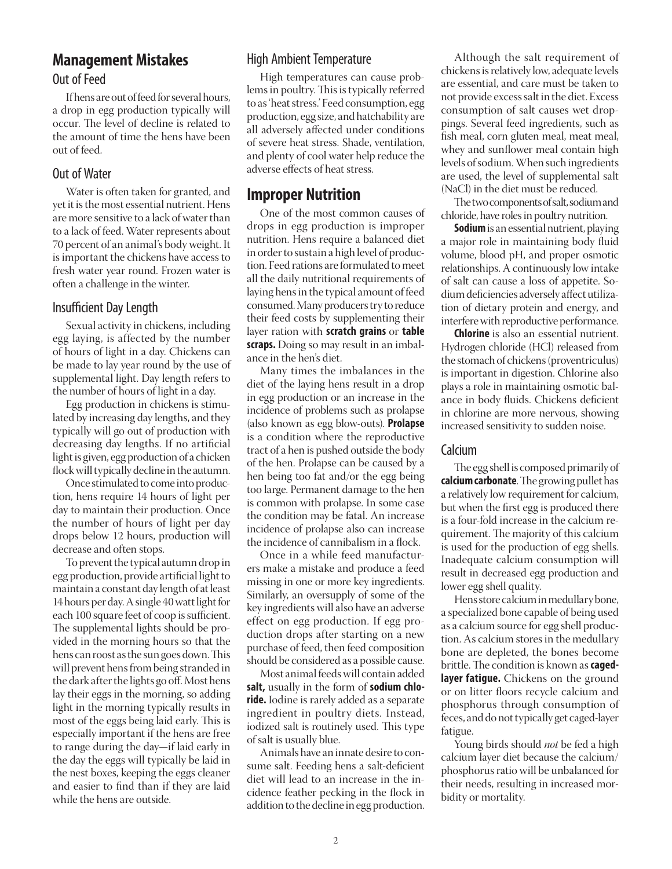# **Management Mistakes** Out of Feed

If hens are out of feed for several hours, a drop in egg production typically will occur. The level of decline is related to the amount of time the hens have been out of feed.

## Out of Water

Water is often taken for granted, and yet it is the most essential nutrient. Hens are more sensitive to a lack of water than to a lack of feed. Water represents about 70 percent of an animal's body weight. It is important the chickens have access to fresh water year round. Frozen water is often a challenge in the winter.

## Insufficient Day Length

Sexual activity in chickens, including egg laying, is affected by the number of hours of light in a day. Chickens can be made to lay year round by the use of supplemental light. Day length refers to the number of hours of light in a day.

Egg production in chickens is stimulated by increasing day lengths, and they typically will go out of production with decreasing day lengths. If no artificial light is given, egg production of a chicken flock will typically decline in the autumn.

Once stimulated to come into production, hens require 14 hours of light per day to maintain their production. Once the number of hours of light per day drops below 12 hours, production will decrease and often stops.

To prevent the typical autumn drop in egg production, provide artificial light to maintain a constant day length of at least 14 hours per day. A single 40 watt light for each 100 square feet of coop is sufficient. The supplemental lights should be provided in the morning hours so that the hens can roost as the sun goes down. This will prevent hens from being stranded in the dark after the lights go off. Most hens lay their eggs in the morning, so adding light in the morning typically results in most of the eggs being laid early. This is especially important if the hens are free to range during the day—if laid early in the day the eggs will typically be laid in the nest boxes, keeping the eggs cleaner and easier to find than if they are laid while the hens are outside.

## High Ambient Temperature

High temperatures can cause problems in poultry. This is typically referred to as 'heat stress.' Feed consumption, egg production, egg size, and hatchability are all adversely affected under conditions of severe heat stress. Shade, ventilation, and plenty of cool water help reduce the adverse effects of heat stress.

# **Improper Nutrition**

One of the most common causes of drops in egg production is improper nutrition. Hens require a balanced diet in order to sustain a high level of production. Feed rations are formulated to meet all the daily nutritional requirements of laying hens in the typical amount of feed consumed. Many producers try to reduce their feed costs by supplementing their layer ration with **scratch grains** or **table scraps.** Doing so may result in an imbalance in the hen's diet.

Many times the imbalances in the diet of the laying hens result in a drop in egg production or an increase in the incidence of problems such as prolapse (also known as egg blow-outs). **Prolapse**  is a condition where the reproductive tract of a hen is pushed outside the body of the hen. Prolapse can be caused by a hen being too fat and/or the egg being too large. Permanent damage to the hen is common with prolapse. In some case the condition may be fatal. An increase incidence of prolapse also can increase the incidence of cannibalism in a flock.

Once in a while feed manufacturers make a mistake and produce a feed missing in one or more key ingredients. Similarly, an oversupply of some of the key ingredients will also have an adverse effect on egg production. If egg production drops after starting on a new purchase of feed, then feed composition should be considered as a possible cause.

Most animal feeds will contain added **salt,** usually in the form of **sodium chloride.** Iodine is rarely added as a separate ingredient in poultry diets. Instead, iodized salt is routinely used. This type of salt is usually blue.

Animals have an innate desire to consume salt. Feeding hens a salt-deficient diet will lead to an increase in the incidence feather pecking in the flock in addition to the decline in egg production.

Although the salt requirement of chickens is relatively low, adequate levels are essential, and care must be taken to not provide excess salt in the diet. Excess consumption of salt causes wet droppings. Several feed ingredients, such as fish meal, corn gluten meal, meat meal, whey and sunflower meal contain high levels of sodium. When such ingredients are used, the level of supplemental salt (NaCl) in the diet must be reduced.

The two components of salt, sodium and chloride, have roles in poultry nutrition.

**Sodium** is an essential nutrient, playing a major role in maintaining body fluid volume, blood pH, and proper osmotic relationships. A continuously low intake of salt can cause a loss of appetite. Sodium deficiencies adversely affect utilization of dietary protein and energy, and interfere with reproductive performance.

**Chlorine** is also an essential nutrient. Hydrogen chloride (HCl) released from the stomach of chickens (proventriculus) is important in digestion. Chlorine also plays a role in maintaining osmotic balance in body fluids. Chickens deficient in chlorine are more nervous, showing increased sensitivity to sudden noise.

## **Calcium**

The egg shell is composed primarily of **calcium carbonate**. The growing pullet has a relatively low requirement for calcium, but when the first egg is produced there is a four-fold increase in the calcium requirement. The majority of this calcium is used for the production of egg shells. Inadequate calcium consumption will result in decreased egg production and lower egg shell quality.

Hens store calcium in medullary bone, a specialized bone capable of being used as a calcium source for egg shell production. As calcium stores in the medullary bone are depleted, the bones become brittle. The condition is known as **cagedlayer fatigue.** Chickens on the ground or on litter floors recycle calcium and phosphorus through consumption of feces, and do not typically get caged-layer fatigue.

Young birds should *not* be fed a high calcium layer diet because the calcium/ phosphorus ratio will be unbalanced for their needs, resulting in increased morbidity or mortality.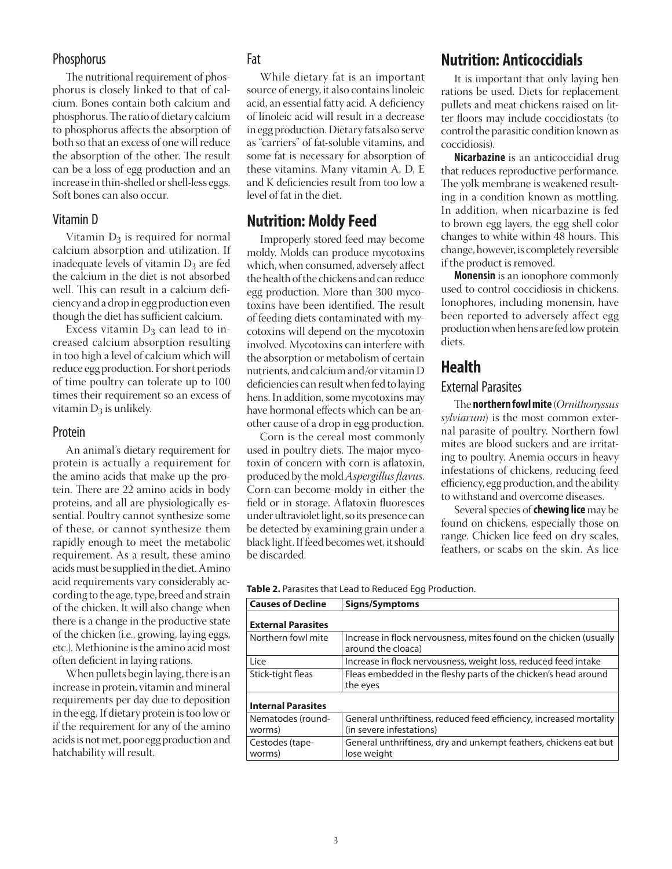## **Phosphorus**

The nutritional requirement of phosphorus is closely linked to that of calcium. Bones contain both calcium and phosphorus. The ratio of dietary calcium to phosphorus affects the absorption of both so that an excess of one will reduce the absorption of the other. The result can be a loss of egg production and an increase in thin-shelled or shell-less eggs. Soft bones can also occur.

### Vitamin D

Vitamin  $D_3$  is required for normal calcium absorption and utilization. If inadequate levels of vitamin  $D_3$  are fed the calcium in the diet is not absorbed well. This can result in a calcium deficiency and a drop in egg production even though the diet has sufficient calcium.

Excess vitamin  $D_3$  can lead to increased calcium absorption resulting in too high a level of calcium which will reduce egg production. For short periods of time poultry can tolerate up to 100 times their requirement so an excess of vitamin  $D_3$  is unlikely.

#### Protein

An animal's dietary requirement for protein is actually a requirement for the amino acids that make up the protein. There are 22 amino acids in body proteins, and all are physiologically essential. Poultry cannot synthesize some of these, or cannot synthesize them rapidly enough to meet the metabolic requirement. As a result, these amino acids must be supplied in the diet. Amino acid requirements vary considerably according to the age, type, breed and strain of the chicken. It will also change when there is a change in the productive state of the chicken (i.e., growing, laying eggs, etc.). Methionine is the amino acid most often deficient in laying rations.

When pullets begin laying, there is an increase in protein, vitamin and mineral requirements per day due to deposition in the egg. If dietary protein is too low or if the requirement for any of the amino acids is not met, poor egg production and hatchability will result.

## Fat

While dietary fat is an important source of energy, it also contains linoleic acid, an essential fatty acid. A deficiency of linoleic acid will result in a decrease in egg production. Dietary fats also serve as "carriers" of fat-soluble vitamins, and some fat is necessary for absorption of these vitamins. Many vitamin A, D, E and K deficiencies result from too low a level of fat in the diet.

## **Nutrition: Moldy Feed**

Improperly stored feed may become moldy. Molds can produce mycotoxins which, when consumed, adversely affect the health of the chickens and can reduce egg production. More than 300 mycotoxins have been identified. The result of feeding diets contaminated with mycotoxins will depend on the mycotoxin involved. Mycotoxins can interfere with the absorption or metabolism of certain nutrients, and calcium and/or vitamin D deficiencies can result when fed to laying hens. In addition, some mycotoxins may have hormonal effects which can be another cause of a drop in egg production.

Corn is the cereal most commonly used in poultry diets. The major mycotoxin of concern with corn is aflatoxin, produced by the mold *Aspergillus flavus*. Corn can become moldy in either the field or in storage. Aflatoxin fluoresces under ultraviolet light, so its presence can be detected by examining grain under a black light. If feed becomes wet, it should be discarded.

# **Nutrition: Anticoccidials**

It is important that only laying hen rations be used. Diets for replacement pullets and meat chickens raised on litter floors may include coccidiostats (to control the parasitic condition known as coccidiosis).

**Nicarbazine** is an anticoccidial drug that reduces reproductive performance. The yolk membrane is weakened resulting in a condition known as mottling. In addition, when nicarbazine is fed to brown egg layers, the egg shell color changes to white within 48 hours. This change, however, is completely reversible if the product is removed.

**Monensin** is an ionophore commonly used to control coccidiosis in chickens. Ionophores, including monensin, have been reported to adversely affect egg production when hens are fed low protein diets.

## **Health**

## External Parasites

The **northern fowl mite** (*Ornithonyssus sylviarum*) is the most common external parasite of poultry. Northern fowl mites are blood suckers and are irritating to poultry. Anemia occurs in heavy infestations of chickens, reducing feed efficiency, egg production, and the ability to withstand and overcome diseases.

Several species of **chewing lice** may be found on chickens, especially those on range. Chicken lice feed on dry scales, feathers, or scabs on the skin. As lice

| $\sim$ $\sim$ $\sim$ $\sim$ $\sim$ $\sim$ |                                                         |
|-------------------------------------------|---------------------------------------------------------|
|                                           | Table 2. Parasites that Lead to Reduced Egg Production. |

| Causes of Decline           | Signs/Symptoms                                                                                  |
|-----------------------------|-------------------------------------------------------------------------------------------------|
| <b>External Parasites</b>   |                                                                                                 |
| Northern fowl mite          | Increase in flock nervousness, mites found on the chicken (usually<br>around the cloaca)        |
| Lice                        | Increase in flock nervousness, weight loss, reduced feed intake                                 |
| Stick-tight fleas           | Fleas embedded in the fleshy parts of the chicken's head around<br>the eyes                     |
| <b>Internal Parasites</b>   |                                                                                                 |
| Nematodes (round-<br>worms) | General unthriftiness, reduced feed efficiency, increased mortality<br>(in severe infestations) |
| Cestodes (tape-<br>worms)   | General unthriftiness, dry and unkempt feathers, chickens eat but<br>lose weight                |
|                             |                                                                                                 |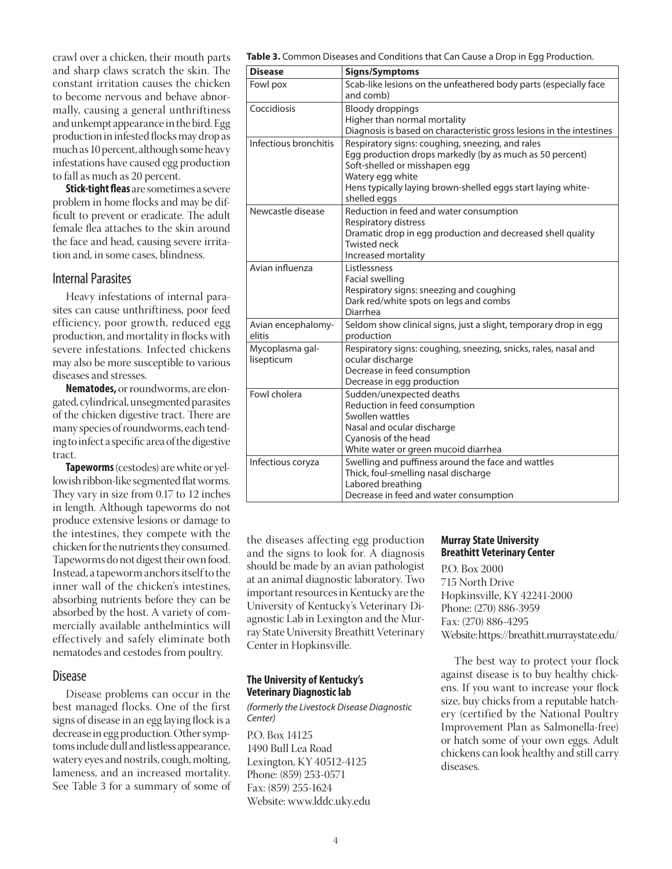crawl over a chicken, their mouth parts and sharp claws scratch the skin. The constant irritation causes the chicken to become nervous and behave abnormally, causing a general unthriftiness and unkempt appearance in the bird. Egg production in infested flocks may drop as much as 10 percent, although some heavy infestations have caused egg production to fall as much as 20 percent.

**Stick-tight fleas** are sometimes a severe problem in home flocks and may be difficult to prevent or eradicate. The adult female flea attaches to the skin around the face and head, causing severe irritation and, in some cases, blindness.

## Internal Parasites

Heavy infestations of internal parasites can cause unthriftiness, poor feed efficiency, poor growth, reduced egg production, and mortality in flocks with severe infestations. Infected chickens may also be more susceptible to various diseases and stresses.

**Nematodes,** or roundworms, are elongated, cylindrical, unsegmented parasites of the chicken digestive tract. There are many species of roundworms, each tending to infect a specific area of the digestive tract.

**Tapeworms** (cestodes) are white or yellowish ribbon-like segmented flat worms. They vary in size from 0.17 to 12 inches in length. Although tapeworms do not produce extensive lesions or damage to the intestines, they compete with the chicken for the nutrients they consumed. Tapeworms do not digest their own food. Instead, a tapeworm anchors itself to the inner wall of the chicken's intestines, absorbing nutrients before they can be absorbed by the host. A variety of commercially available anthelmintics will effectively and safely eliminate both nematodes and cestodes from poultry.

#### Disease

Disease problems can occur in the best managed flocks. One of the first signs of disease in an egg laying flock is a decrease in egg production. Other symptoms include dull and listless appearance, watery eyes and nostrils, cough, molting, lameness, and an increased mortality. See Table 3 for a summary of some of **Table 3.** Common Diseases and Conditions that Can Cause a Drop in Egg Production.

| <b>Disease</b>                | Signs/Symptoms                                                                                                                                                                                                                                    |
|-------------------------------|---------------------------------------------------------------------------------------------------------------------------------------------------------------------------------------------------------------------------------------------------|
| Fowl pox                      | Scab-like lesions on the unfeathered body parts (especially face<br>and comb)                                                                                                                                                                     |
| Coccidiosis                   | <b>Bloody droppings</b><br>Higher than normal mortality<br>Diagnosis is based on characteristic gross lesions in the intestines                                                                                                                   |
| Infectious bronchitis         | Respiratory signs: coughing, sneezing, and rales<br>Egg production drops markedly (by as much as 50 percent)<br>Soft-shelled or misshapen egg<br>Watery egg white<br>Hens typically laying brown-shelled eggs start laying white-<br>shelled eggs |
| Newcastle disease             | Reduction in feed and water consumption<br>Respiratory distress<br>Dramatic drop in egg production and decreased shell quality<br><b>Twisted neck</b><br>Increased mortality                                                                      |
| Avian influenza               | Listlessness<br>Facial swelling<br>Respiratory signs: sneezing and coughing<br>Dark red/white spots on legs and combs<br>Diarrhea                                                                                                                 |
| Avian encephalomy-<br>elitis  | Seldom show clinical signs, just a slight, temporary drop in egg<br>production                                                                                                                                                                    |
| Mycoplasma gal-<br>lisepticum | Respiratory signs: coughing, sneezing, snicks, rales, nasal and<br>ocular discharge<br>Decrease in feed consumption<br>Decrease in egg production                                                                                                 |
| Fowl cholera                  | Sudden/unexpected deaths<br>Reduction in feed consumption<br>Swollen wattles<br>Nasal and ocular discharge<br>Cyanosis of the head<br>White water or green mucoid diarrhea                                                                        |
| Infectious coryza             | Swelling and puffiness around the face and wattles<br>Thick, foul-smelling nasal discharge<br>Labored breathing<br>Decrease in feed and water consumption                                                                                         |

the diseases affecting egg production and the signs to look for. A diagnosis should be made by an avian pathologist at an animal diagnostic laboratory. Two important resources in Kentucky are the University of Kentucky's Veterinary Diagnostic Lab in Lexington and the Murray State University Breathitt Veterinary Center in Hopkinsville.

#### **The University of Kentucky's Veterinary Diagnostic lab**

*(formerly the Livestock Disease Diagnostic Center)*

P.O. Box 14125 1490 Bull Lea Road Lexington, KY 40512-4125 Phone: (859) 253-0571 Fax: (859) 255-1624 Website: www.lddc.uky.edu

#### **Murray State University Breathitt Veterinary Center**

P.O. Box 2000 715 North Drive Hopkinsville, KY 42241-2000 Phone: (270) 886-3959 Fax: (270) 886-4295 Website: https://breathitt.murraystate.edu/

The best way to protect your flock against disease is to buy healthy chickens. If you want to increase your flock size, buy chicks from a reputable hatchery (certified by the National Poultry Improvement Plan as Salmonella-free) or hatch some of your own eggs. Adult chickens can look healthy and still carry diseases.